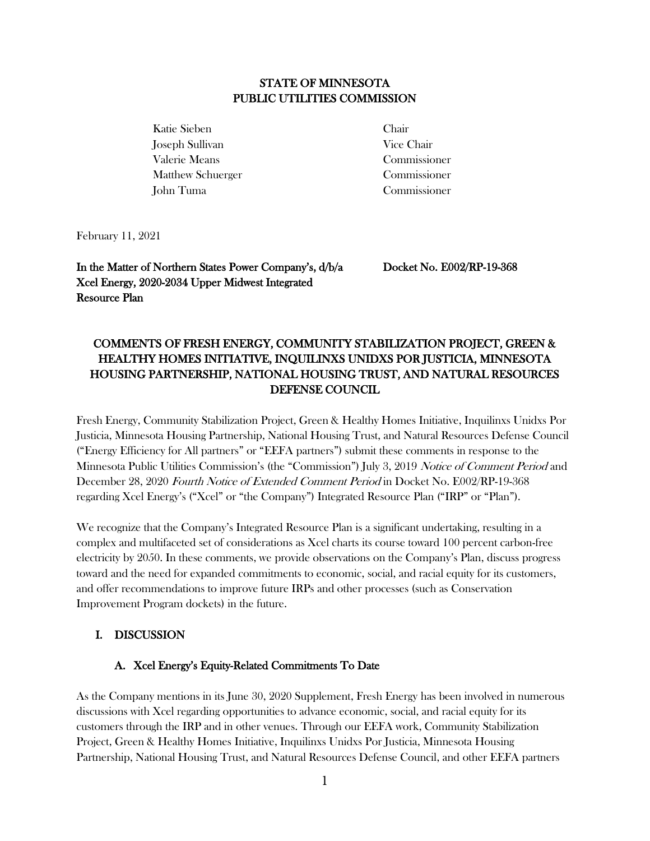## STATE OF MINNESOTA PUBLIC UTILITIES COMMISSION

Katie Sieben Chair Joseph Sullivan Vice Chair Valerie Means Commissioner Matthew Schuerger Commissioner John Tuma Commissioner

February 11, 2021

In the Matter of Northern States Power Company's, d/b/a Xcel Energy, 2020-2034 Upper Midwest Integrated Resource Plan

Docket No. E002/RP-19-368

# COMMENTS OF FRESH ENERGY, COMMUNITY STABILIZATION PROJECT, GREEN & HEALTHY HOMES INITIATIVE, INQUILINXS UNIDXS POR JUSTICIA, MINNESOTA HOUSING PARTNERSHIP, NATIONAL HOUSING TRUST, AND NATURAL RESOURCES DEFENSE COUNCIL

Fresh Energy, Community Stabilization Project, Green & Healthy Homes Initiative, Inquilinxs Unidxs Por Justicia, Minnesota Housing Partnership, National Housing Trust, and Natural Resources Defense Council ("Energy Efficiency for All partners" or "EEFA partners") submit these comments in response to the Minnesota Public Utilities Commission's (the "Commission") July 3, 2019 Notice of Comment Period and December 28, 2020 Fourth Notice of Extended Comment Period in Docket No. E002/RP-19-368 regarding Xcel Energy's ("Xcel" or "the Company") Integrated Resource Plan ("IRP" or "Plan").

We recognize that the Company's Integrated Resource Plan is a significant undertaking, resulting in a complex and multifaceted set of considerations as Xcel charts its course toward 100 percent carbon-free electricity by 2050. In these comments, we provide observations on the Company's Plan, discuss progress toward and the need for expanded commitments to economic, social, and racial equity for its customers, and offer recommendations to improve future IRPs and other processes (such as Conservation Improvement Program dockets) in the future.

## I. DISCUSSION

#### A. Xcel Energy's Equity-Related Commitments To Date

As the Company mentions in its June 30, 2020 Supplement, Fresh Energy has been involved in numerous discussions with Xcel regarding opportunities to advance economic, social, and racial equity for its customers through the IRP and in other venues. Through our EEFA work, Community Stabilization Project, Green & Healthy Homes Initiative, Inquilinxs Unidxs Por Justicia, Minnesota Housing Partnership, National Housing Trust, and Natural Resources Defense Council, and other EEFA partners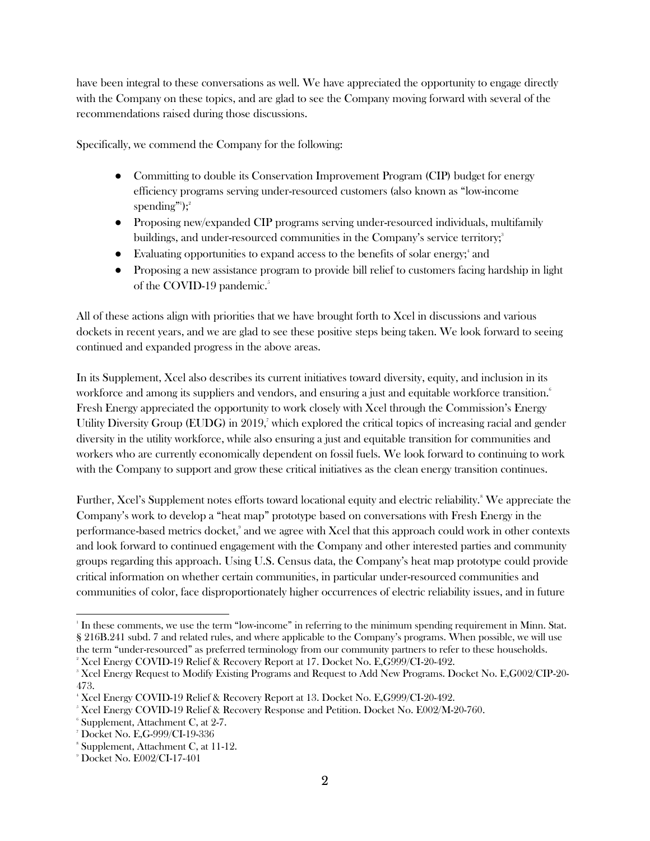have been integral to these conversations as well. We have appreciated the opportunity to engage directly with the Company on these topics, and are glad to see the Company moving forward with several of the recommendations raised during those discussions.

Specifically, we commend the Company for the following:

- Committing to double its Conservation Improvement Program (CIP) budget for energy efficiency programs serving under-resourced customers (also known as "low-income  $\mathrm{spending}^{\mathrm{ml}});^2$
- Proposing new/expanded CIP programs serving under-resourced individuals, multifamily buildings, and under-resourced communities in the Company's service territory;<sup>3</sup>
- Evaluating opportunities to expand access to the benefits of solar energy;<sup>4</sup> and
- Proposing a new assistance program to provide bill relief to customers facing hardship in light of the COVID-19 pandemic.<sup>5</sup>

All of these actions align with priorities that we have brought forth to Xcel in discussions and various dockets in recent years, and we are glad to see these positive steps being taken. We look forward to seeing continued and expanded progress in the above areas.

In its Supplement, Xcel also describes its current initiatives toward diversity, equity, and inclusion in its workforce and among its suppliers and vendors, and ensuring a just and equitable workforce transition.<sup>6</sup> Fresh Energy appreciated the opportunity to work closely with Xcel through the Commission's Energy Utility Diversity Group (EUDG) in 2019, which explored the critical topics of increasing racial and gender diversity in the utility workforce, while also ensuring a just and equitable transition for communities and workers who are currently economically dependent on fossil fuels. We look forward to continuing to work with the Company to support and grow these critical initiatives as the clean energy transition continues.

Further, Xcel's Supplement notes efforts toward locational equity and electric reliability.<sup>8</sup> We appreciate the Company's work to develop a "heat map" prototype based on conversations with Fresh Energy in the performance-based metrics docket,<sup>9</sup> and we agree with Xcel that this approach could work in other contexts and look forward to continued engagement with the Company and other interested parties and community groups regarding this approach. Using U.S. Census data, the Company's heat map prototype could provide critical information on whether certain communities, in particular under-resourced communities and communities of color, face disproportionately higher occurrences of electric reliability issues, and in future

<sup>1</sup> In these comments, we use the term "low-income" in referring to the minimum spending requirement in Minn. Stat. § 216B.241 subd. 7 and related rules, and where applicable to the Company's programs. When possible, we will use the term "under-resourced" as preferred terminology from our community partners to refer to these households. <sup>2</sup> Xcel Energy COVID-19 Relief & Recovery Report at 17. Docket No. E,G999/CI-20-492.

<sup>3</sup> Xcel Energy Request to Modify Existing Programs and Request to Add New Programs. Docket No. E,G002/CIP-20- 473.

<sup>4</sup> Xcel Energy COVID-19 Relief & Recovery Report at 13. Docket No. E,G999/CI-20-492.

<sup>&</sup>lt;sup>5</sup> Xcel Energy COVID-19 Relief & Recovery Response and Petition. Docket No. E002/M-20-760.

<sup>6</sup> Supplement, Attachment C, at 2-7.

<sup>7</sup> Docket No. E,G-999/CI-19-336

<sup>8</sup> Supplement, Attachment C, at 11-12.

<sup>9</sup> Docket No. E002/CI-17-401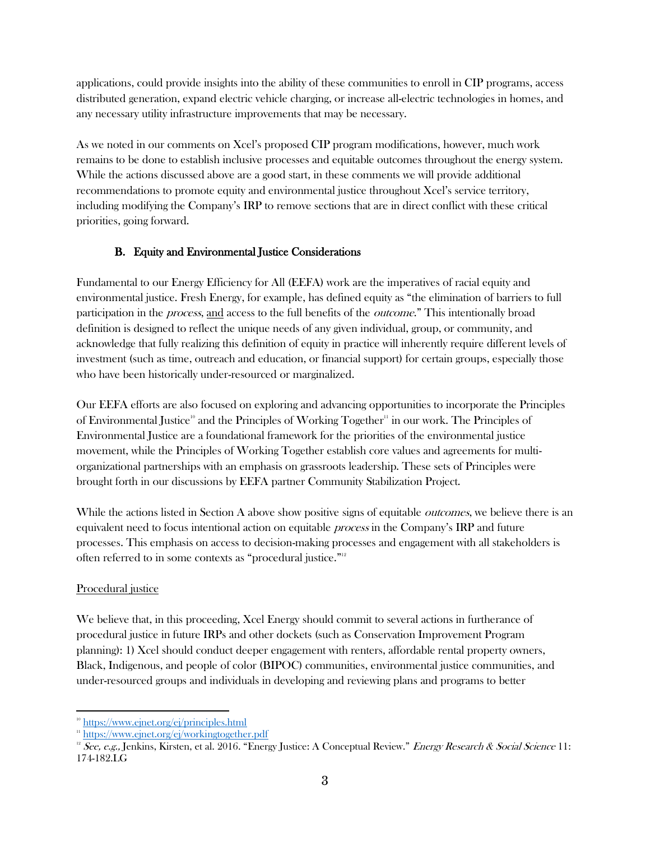applications, could provide insights into the ability of these communities to enroll in CIP programs, access distributed generation, expand electric vehicle charging, or increase all-electric technologies in homes, and any necessary utility infrastructure improvements that may be necessary.

As we noted in our comments on Xcel's proposed CIP program modifications, however, much work remains to be done to establish inclusive processes and equitable outcomes throughout the energy system. While the actions discussed above are a good start, in these comments we will provide additional recommendations to promote equity and environmental justice throughout Xcel's service territory, including modifying the Company's IRP to remove sections that are in direct conflict with these critical priorities, going forward.

# B. Equity and Environmental Justice Considerations

Fundamental to our Energy Efficiency for All (EEFA) work are the imperatives of racial equity and environmental justice. Fresh Energy, for example, has defined equity as "the elimination of barriers to full participation in the process, and access to the full benefits of the outcome." This intentionally broad definition is designed to reflect the unique needs of any given individual, group, or community, and acknowledge that fully realizing this definition of equity in practice will inherently require different levels of investment (such as time, outreach and education, or financial support) for certain groups, especially those who have been historically under-resourced or marginalized.

Our EEFA efforts are also focused on exploring and advancing opportunities to incorporate the Principles of Environmental Justice<sup>10</sup> and the Principles of Working Together<sup>11</sup> in our work. The Principles of Environmental Justice are a foundational framework for the priorities of the environmental justice movement, while the Principles of Working Together establish core values and agreements for multiorganizational partnerships with an emphasis on grassroots leadership. These sets of Principles were brought forth in our discussions by EEFA partner Community Stabilization Project.

While the actions listed in Section A above show positive signs of equitable *outcomes*, we believe there is an equivalent need to focus intentional action on equitable process in the Company's IRP and future processes. This emphasis on access to decision-making processes and engagement with all stakeholders is often referred to in some contexts as "procedural justice."<sup>12</sup>

## Procedural justice

We believe that, in this proceeding, Xcel Energy should commit to several actions in furtherance of procedural justice in future IRPs and other dockets (such as Conservation Improvement Program planning): 1) Xcel should conduct deeper engagement with renters, affordable rental property owners, Black, Indigenous, and people of color (BIPOC) communities, environmental justice communities, and under-resourced groups and individuals in developing and reviewing plans and programs to better

<sup>&</sup>lt;sup>10</sup> <https://www.ejnet.org/ej/principles.html>

<sup>&</sup>lt;sup>11</sup> <https://www.ejnet.org/ej/workingtogether.pdf>

<sup>&</sup>lt;sup>12</sup> See, e.g., Jenkins, Kirsten, et al. 2016. "Energy Justice: A Conceptual Review." Energy Research & Social Science 11: 174-182.LG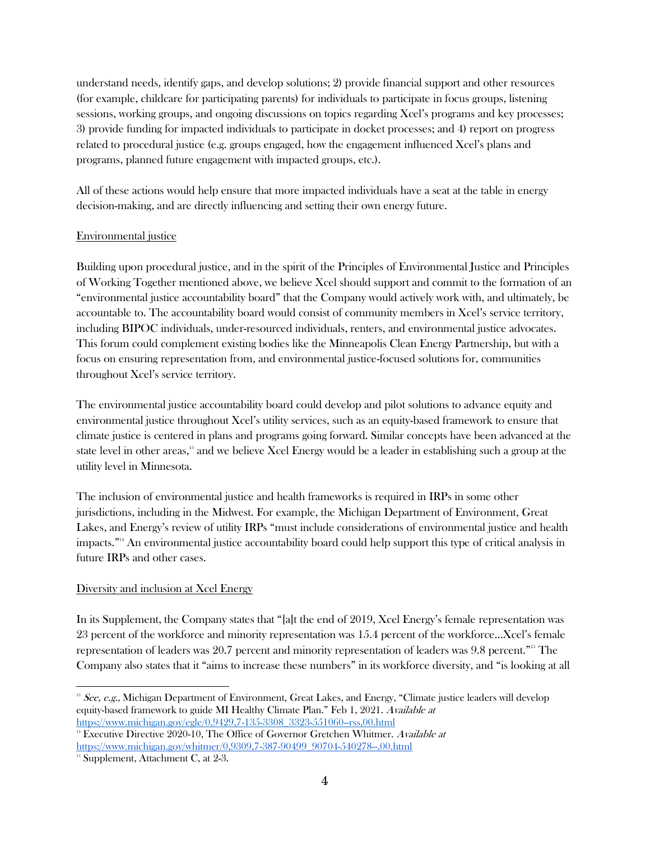understand needs, identify gaps, and develop solutions; 2) provide financial support and other resources (for example, childcare for participating parents) for individuals to participate in focus groups, listening sessions, working groups, and ongoing discussions on topics regarding Xcel's programs and key processes; 3) provide funding for impacted individuals to participate in docket processes; and 4) report on progress related to procedural justice (e.g. groups engaged, how the engagement influenced Xcel's plans and programs, planned future engagement with impacted groups, etc.).

All of these actions would help ensure that more impacted individuals have a seat at the table in energy decision-making, and are directly influencing and setting their own energy future.

#### Environmental justice

Building upon procedural justice, and in the spirit of the Principles of Environmental Justice and Principles of Working Together mentioned above, we believe Xcel should support and commit to the formation of an "environmental justice accountability board" that the Company would actively work with, and ultimately, be accountable to. The accountability board would consist of community members in Xcel's service territory, including BIPOC individuals, under-resourced individuals, renters, and environmental justice advocates. This forum could complement existing bodies like the Minneapolis Clean Energy Partnership, but with a focus on ensuring representation from, and environmental justice-focused solutions for, communities throughout Xcel's service territory.

The environmental justice accountability board could develop and pilot solutions to advance equity and environmental justice throughout Xcel's utility services, such as an equity-based framework to ensure that climate justice is centered in plans and programs going forward. Similar concepts have been advanced at the state level in other areas,<sup>13</sup> and we believe Xcel Energy would be a leader in establishing such a group at the utility level in Minnesota.

The inclusion of environmental justice and health frameworks is required in IRPs in some other jurisdictions, including in the Midwest. For example, the Michigan Department of Environment, Great Lakes, and Energy's review of utility IRPs "must include considerations of environmental justice and health impacts."<sup>14</sup> An environmental justice accountability board could help support this type of critical analysis in future IRPs and other cases.

#### Diversity and inclusion at Xcel Energy

In its Supplement, the Company states that "[a]t the end of 2019, Xcel Energy's female representation was 23 percent of the workforce and minority representation was 15.4 percent of the workforce…Xcel's female representation of leaders was 20.7 percent and minority representation of leaders was 9.8 percent."<sup>15</sup> The Company also states that it "aims to increase these numbers" in its workforce diversity, and "is looking at all

<sup>&</sup>lt;sup>13</sup> See, e.g., Michigan Department of Environment, Great Lakes, and Energy, "Climate justice leaders will develop equity-based framework to guide MI Healthy Climate Plan." Feb 1, 2021. Available at [https://www.michigan.gov/egle/0,9429,7-135-3308\\_3323-551060--rss,00.html](https://www.michigan.gov/egle/0,9429,7-135-3308_3323-551060--rss,00.html)

<sup>&</sup>lt;sup>14</sup> Executive Directive 2020-10, The Office of Governor Gretchen Whitmer. Available at [https://www.michigan.gov/whitmer/0,9309,7-387-90499\\_90704-540278--,00.html](https://www.michigan.gov/whitmer/0,9309,7-387-90499_90704-540278--,00.html)

 $15$  Supplement, Attachment C, at 2-3.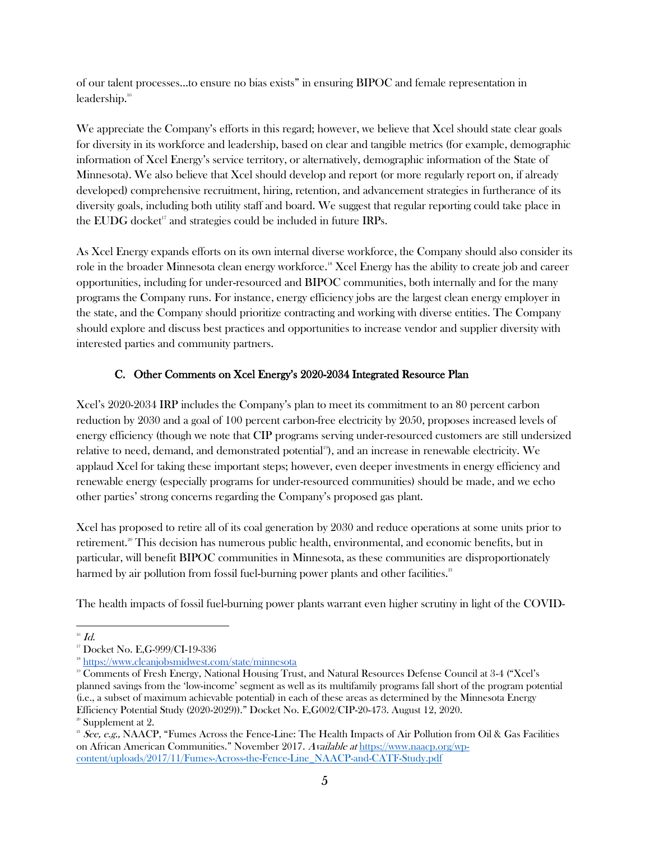of our talent processes…to ensure no bias exists" in ensuring BIPOC and female representation in leadership.<sup>16</sup>

We appreciate the Company's efforts in this regard; however, we believe that Xcel should state clear goals for diversity in its workforce and leadership, based on clear and tangible metrics (for example, demographic information of Xcel Energy's service territory, or alternatively, demographic information of the State of Minnesota). We also believe that Xcel should develop and report (or more regularly report on, if already developed) comprehensive recruitment, hiring, retention, and advancement strategies in furtherance of its diversity goals, including both utility staff and board. We suggest that regular reporting could take place in the EUDG docket<sup> $17$ </sup> and strategies could be included in future IRPs.

As Xcel Energy expands efforts on its own internal diverse workforce, the Company should also consider its role in the broader Minnesota clean energy workforce.<sup>18</sup> Xcel Energy has the ability to create job and career opportunities, including for under-resourced and BIPOC communities, both internally and for the many programs the Company runs. For instance, energy efficiency jobs are the largest clean energy employer in the state, and the Company should prioritize contracting and working with diverse entities. The Company should explore and discuss best practices and opportunities to increase vendor and supplier diversity with interested parties and community partners.

## C. Other Comments on Xcel Energy's 2020-2034 Integrated Resource Plan

Xcel's 2020-2034 IRP includes the Company's plan to meet its commitment to an 80 percent carbon reduction by 2030 and a goal of 100 percent carbon-free electricity by 2050, proposes increased levels of energy efficiency (though we note that CIP programs serving under-resourced customers are still undersized relative to need, demand, and demonstrated potential<sup>19</sup>, and an increase in renewable electricity. We applaud Xcel for taking these important steps; however, even deeper investments in energy efficiency and renewable energy (especially programs for under-resourced communities) should be made, and we echo other parties' strong concerns regarding the Company's proposed gas plant.

Xcel has proposed to retire all of its coal generation by 2030 and reduce operations at some units prior to retirement.<sup>20</sup> This decision has numerous public health, environmental, and economic benefits, but in particular, will benefit BIPOC communities in Minnesota, as these communities are disproportionately harmed by air pollution from fossil fuel-burning power plants and other facilities.<sup>21</sup>

The health impacts of fossil fuel-burning power plants warrant even higher scrutiny in light of the COVID-

 $16$   $Id.$ 

<sup>&</sup>lt;sup>17</sup> Docket No. E,G-999/CI-19-336

<sup>&</sup>lt;sup>18</sup> <https://www.cleanjobsmidwest.com/state/minnesota>

<sup>19</sup> Comments of Fresh Energy, National Housing Trust, and Natural Resources Defense Council at 3-4 ("Xcel's planned savings from the 'low-income' segment as well as its multifamily programs fall short of the program potential (i.e., a subset of maximum achievable potential) in each of these areas as determined by the Minnesota Energy Efficiency Potential Study (2020-2029))." Docket No. E,G002/CIP-20-473. August 12, 2020. <sup>20</sup> Supplement at 2.

<sup>&</sup>lt;sup>21</sup> See, e.g., NAACP, "Fumes Across the Fence-Line: The Health Impacts of Air Pollution from Oil & Gas Facilities on African American Communities." November 2017. Available at [https://www.naacp.org/wp](https://www.naacp.org/wp-content/uploads/2017/11/Fumes-Across-the-Fence-Line_NAACP-and-CATF-Study.pdf)[content/uploads/2017/11/Fumes-Across-the-Fence-Line\\_NAACP-and-CATF-Study.pdf](https://www.naacp.org/wp-content/uploads/2017/11/Fumes-Across-the-Fence-Line_NAACP-and-CATF-Study.pdf)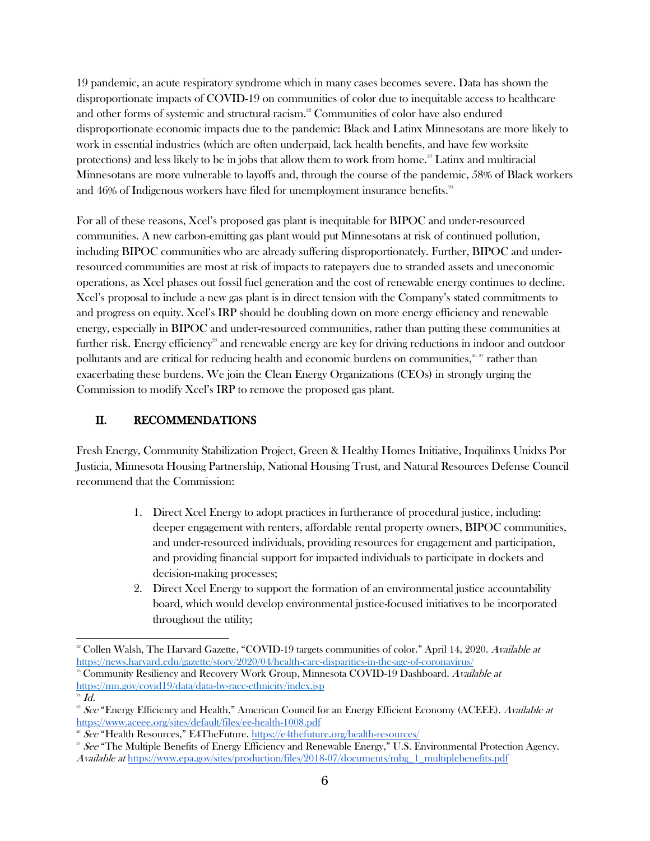19 pandemic, an acute respiratory syndrome which in many cases becomes severe. Data has shown the disproportionate impacts of COVID-19 on communities of color due to inequitable access to healthcare and other forms of systemic and structural racism.<sup>22</sup> Communities of color have also endured disproportionate economic impacts due to the pandemic: Black and Latinx Minnesotans are more likely to work in essential industries (which are often underpaid, lack health benefits, and have few worksite protections) and less likely to be in jobs that allow them to work from home.<sup>23</sup> Latinx and multiracial Minnesotans are more vulnerable to layoffs and, through the course of the pandemic, 58% of Black workers and 46% of Indigenous workers have filed for unemployment insurance benefits.<sup>24</sup>

For all of these reasons, Xcel's proposed gas plant is inequitable for BIPOC and under-resourced communities. A new carbon-emitting gas plant would put Minnesotans at risk of continued pollution, including BIPOC communities who are already suffering disproportionately. Further, BIPOC and underresourced communities are most at risk of impacts to ratepayers due to stranded assets and uneconomic operations, as Xcel phases out fossil fuel generation and the cost of renewable energy continues to decline. Xcel's proposal to include a new gas plant is in direct tension with the Company's stated commitments to and progress on equity. Xcel's IRP should be doubling down on more energy efficiency and renewable energy, especially in BIPOC and under-resourced communities, rather than putting these communities at further risk. Energy efficiency<sup>25</sup> and renewable energy are key for driving reductions in indoor and outdoor pollutants and are critical for reducing health and economic burdens on communities, $^{26,27}$  rather than exacerbating these burdens. We join the Clean Energy Organizations (CEOs) in strongly urging the Commission to modify Xcel's IRP to remove the proposed gas plant.

# II. RECOMMENDATIONS

Fresh Energy, Community Stabilization Project, Green & Healthy Homes Initiative, Inquilinxs Unidxs Por Justicia, Minnesota Housing Partnership, National Housing Trust, and Natural Resources Defense Council recommend that the Commission:

- 1. Direct Xcel Energy to adopt practices in furtherance of procedural justice, including: deeper engagement with renters, affordable rental property owners, BIPOC communities, and under-resourced individuals, providing resources for engagement and participation, and providing financial support for impacted individuals to participate in dockets and decision-making processes;
- 2. Direct Xcel Energy to support the formation of an environmental justice accountability board, which would develop environmental justice-focused initiatives to be incorporated throughout the utility;

<sup>&</sup>lt;sup>22</sup> Collen Walsh, The Harvard Gazette, "COVID-19 targets communities of color." April 14, 2020. Available at <https://news.harvard.edu/gazette/story/2020/04/health-care-disparities-in-the-age-of-coronavirus/>

<sup>&</sup>lt;sup>23</sup> Community Resiliency and Recovery Work Group, Minnesota COVID-19 Dashboard. Available at <https://mn.gov/covid19/data/data-by-race-ethnicity/index.jsp>

 $^{24}$   $Id.$ 

<sup>&</sup>lt;sup>25</sup> See "Energy Efficiency and Health," American Council for an Energy Efficient Economy (ACEEE). Available at <https://www.aceee.org/sites/default/files/ee-health-1008.pdf>

<sup>26</sup> See "Health Resources," E4TheFuture. <https://e4thefuture.org/health-resources/>

 $\overline{z}$  See "The Multiple Benefits of Energy Efficiency and Renewable Energy," U.S. Environmental Protection Agency. Available at [https://www.epa.gov/sites/production/files/2018-07/documents/mbg\\_1\\_multiplebenefits.pdf](https://www.epa.gov/sites/production/files/2018-07/documents/mbg_1_multiplebenefits.pdf)